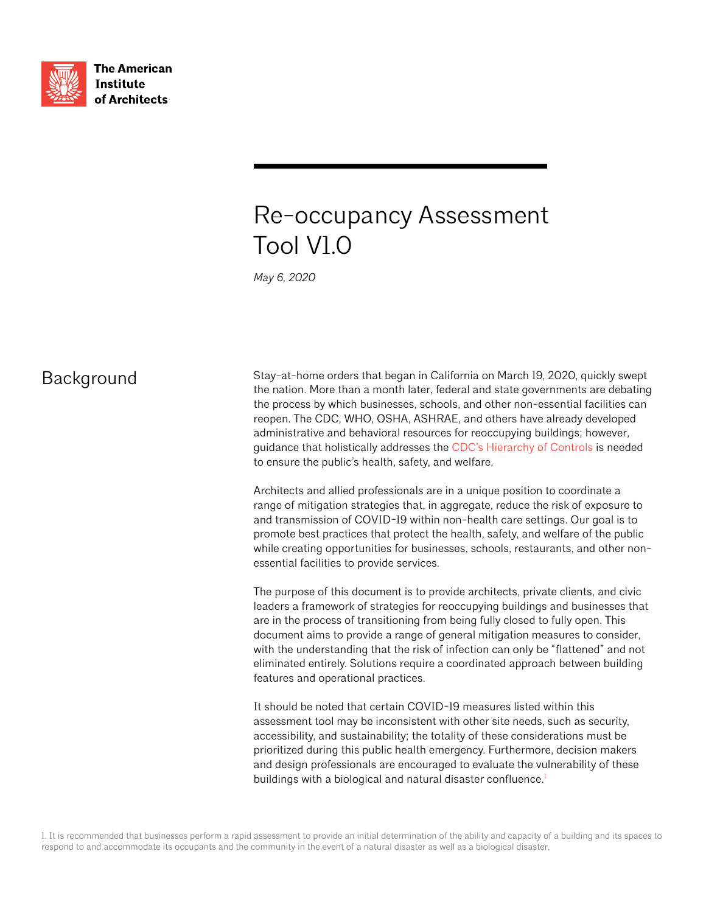

**The American Institute** of Architects

# Re-occupancy Assessment Tool V1.0

*May 6, 2020*

### **Background**

Stay-at-home orders that began in California on March 19, 2020, quickly swept the nation. More than a month later, federal and state governments are debating the process by which businesses, schools, and other non-essential facilities can reopen. The CDC, WHO, OSHA, ASHRAE, and others have already developed administrative and behavioral resources for reoccupying buildings; however, guidance that holistically addresses the [CDC's Hierarchy of Controls](https://www.cdc.gov/niosh/topics/hierarchy/default.html) is needed to ensure the public's health, safety, and welfare.

Architects and allied professionals are in a unique position to coordinate a range of mitigation strategies that, in aggregate, reduce the risk of exposure to and transmission of COVID-19 within non-health care settings. Our goal is to promote best practices that protect the health, safety, and welfare of the public while creating opportunities for businesses, schools, restaurants, and other nonessential facilities to provide services.

The purpose of this document is to provide architects, private clients, and civic leaders a framework of strategies for reoccupying buildings and businesses that are in the process of transitioning from being fully closed to fully open. This document aims to provide a range of general mitigation measures to consider, with the understanding that the risk of infection can only be "flattened" and not eliminated entirely. Solutions require a coordinated approach between building features and operational practices.

It should be noted that certain COVID-19 measures listed within this assessment tool may be inconsistent with other site needs, such as security, accessibility, and sustainability; the totality of these considerations must be prioritized during this public health emergency. Furthermore, decision makers and design professionals are encouraged to evaluate the vulnerability of these buildings with a biological and natural disaster confluence.<sup>1</sup>

1. It is recommended that businesses perform a rapid assessment to provide an initial determination of the ability and capacity of a building and its spaces to respond to and accommodate its occupants and the community in the event of a natural disaster as well as a biological disaster.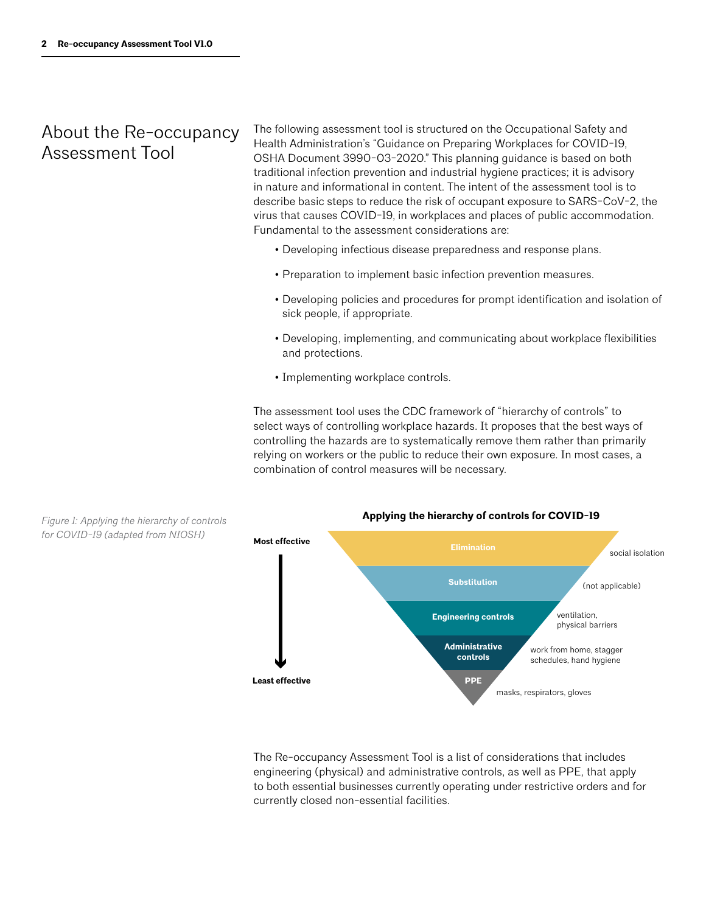### About the Re-occupancy Assessment Tool

The following assessment tool is structured on the Occupational Safety and Health Administration's "Guidance on Preparing Workplaces for COVID-19, OSHA Document 3990-03-2020." This planning guidance is based on both traditional infection prevention and industrial hygiene practices; it is advisory in nature and informational in content. The intent of the assessment tool is to describe basic steps to reduce the risk of occupant exposure to SARS-CoV-2, the virus that causes COVID-19, in workplaces and places of public accommodation. Fundamental to the assessment considerations are:

- Developing infectious disease preparedness and response plans.
- Preparation to implement basic infection prevention measures.
- Developing policies and procedures for prompt identification and isolation of sick people, if appropriate.
- Developing, implementing, and communicating about workplace flexibilities and protections.
- Implementing workplace controls.

The assessment tool uses the CDC framework of "hierarchy of controls" to select ways of controlling workplace hazards. It proposes that the best ways of controlling the hazards are to systematically remove them rather than primarily relying on workers or the public to reduce their own exposure. In most cases, a combination of control measures will be necessary.



The Re-occupancy Assessment Tool is a list of considerations that includes engineering (physical) and administrative controls, as well as PPE, that apply to both essential businesses currently operating under restrictive orders and for currently closed non-essential facilities.

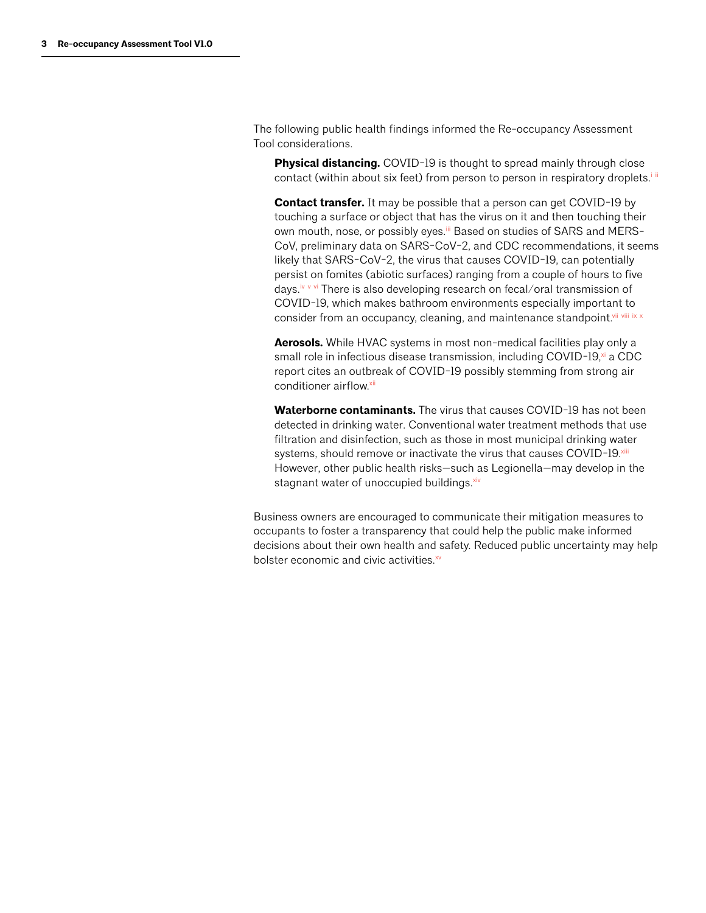The following public health findings informed the Re-occupancy Assessment Tool considerations.

**Physical distancing.** COVID-19 is thought to spread mainly through close contact (within about six feet) from person to person in respiratory droplets.<sup>iii</sup>

**Contact transfer.** It may be possible that a person can get COVID-19 by touching a surface or object that has the virus on it and then touching their own mouth, nose, or possibly eyes.iii Based on studies of SARS and MERS-CoV, preliminary data on SARS-CoV-2, and CDC recommendations, it seems likely that SARS-CoV-2, the virus that causes COVID-19, can potentially persist on fomites (abiotic surfaces) ranging from a couple of hours to five days.<sup>iv v vi</sup> There is also developing research on fecal/oral transmission of COVID-19, which makes bathroom environments especially important to consider from an occupancy, cleaning, and maintenance standpoint.<sup>vii</sup> viii ix x

**Aerosols.** While HVAC systems in most non-medical facilities play only a small role in infectious disease transmission, including COVID-19,<sup>xi</sup> a CDC report cites an outbreak of COVID-19 possibly stemming from strong air conditioner airflow.xii

**Waterborne contaminants.** The virus that causes COVID-19 has not been detected in drinking water. Conventional water treatment methods that use filtration and disinfection, such as those in most municipal drinking water systems, should remove or inactivate the virus that causes COVID-19.xiii However, other public health risks—such as Legionella—may develop in the stagnant water of unoccupied buildings. xiv

Business owners are encouraged to communicate their mitigation measures to occupants to foster a transparency that could help the public make informed decisions about their own health and safety. Reduced public uncertainty may help bolster economic and civic activities.<sup>xv</sup>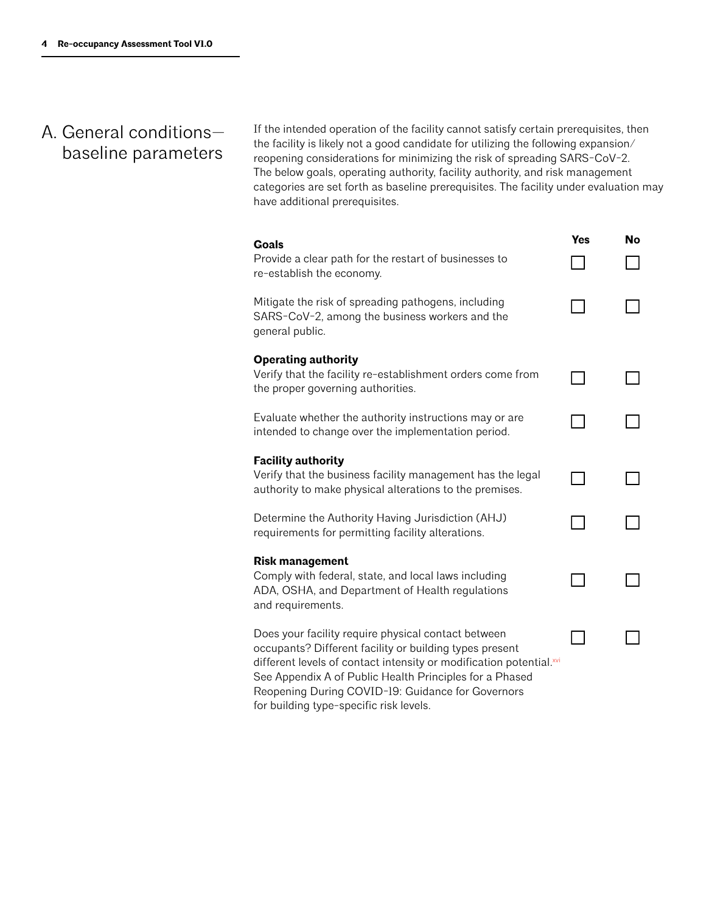# A. General conditions baseline parameters

If the intended operation of the facility cannot satisfy certain prerequisites, then the facility is likely not a good candidate for utilizing the following expansion/ reopening considerations for minimizing the risk of spreading SARS-CoV-2. The below goals, operating authority, facility authority, and risk management categories are set forth as baseline prerequisites. The facility under evaluation may have additional prerequisites.

| Goals<br>Provide a clear path for the restart of businesses to<br>re-establish the economy.                                                                                                                                                                                                                                                      | Yes | No |
|--------------------------------------------------------------------------------------------------------------------------------------------------------------------------------------------------------------------------------------------------------------------------------------------------------------------------------------------------|-----|----|
| Mitigate the risk of spreading pathogens, including<br>SARS-CoV-2, among the business workers and the<br>general public.                                                                                                                                                                                                                         |     |    |
| <b>Operating authority</b><br>Verify that the facility re-establishment orders come from<br>the proper governing authorities.                                                                                                                                                                                                                    |     |    |
| Evaluate whether the authority instructions may or are<br>intended to change over the implementation period.                                                                                                                                                                                                                                     |     |    |
| <b>Facility authority</b><br>Verify that the business facility management has the legal<br>authority to make physical alterations to the premises.                                                                                                                                                                                               |     |    |
| Determine the Authority Having Jurisdiction (AHJ)<br>requirements for permitting facility alterations.                                                                                                                                                                                                                                           |     |    |
| <b>Risk management</b><br>Comply with federal, state, and local laws including<br>ADA, OSHA, and Department of Health regulations<br>and requirements.                                                                                                                                                                                           |     |    |
| Does your facility require physical contact between<br>occupants? Different facility or building types present<br>different levels of contact intensity or modification potential.xvi<br>See Appendix A of Public Health Principles for a Phased<br>Reopening During COVID-19: Guidance for Governors<br>for building type-specific risk levels. |     |    |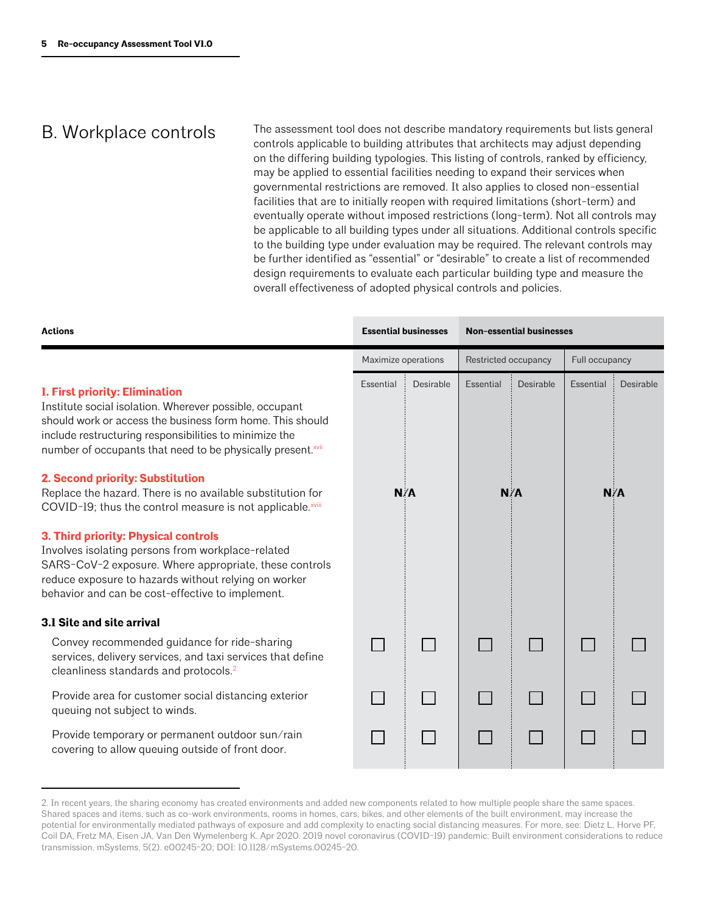### B. Workplace controls

The assessment tool does not describe mandatory requirements but lists general controls applicable to building attributes that architects may adjust depending on the differing building typologies. This listing of controls, ranked by efficiency, may be applied to essential facilities needing to expand their services when governmental restrictions are removed. It also applies to closed non-essential facilities that are to initially reopen with required limitations (short-term) and eventually operate without imposed restrictions (long-term). Not all controls may be applicable to all building types under all situations. Additional controls specific to the building type under evaluation may be required. The relevant controls may be further identified as "essential" or "desirable" to create a list of recommended design requirements to evaluate each particular building type and measure the overall effectiveness of adopted physical controls and policies.

| <b>Actions</b>                                                                                                                                                                                                                                                                                                                                                                                                                                                                                                                                                                                                | <b>Essential businesses</b> |           | <b>Non-essential businesses</b> |           |                  |           |  |
|---------------------------------------------------------------------------------------------------------------------------------------------------------------------------------------------------------------------------------------------------------------------------------------------------------------------------------------------------------------------------------------------------------------------------------------------------------------------------------------------------------------------------------------------------------------------------------------------------------------|-----------------------------|-----------|---------------------------------|-----------|------------------|-----------|--|
|                                                                                                                                                                                                                                                                                                                                                                                                                                                                                                                                                                                                               | Maximize operations         |           | Restricted occupancy            |           | Full occupancy   |           |  |
| <b>1. First priority: Elimination</b><br>Institute social isolation. Wherever possible, occupant<br>should work or access the business form home. This should<br>include restructuring responsibilities to minimize the<br>number of occupants that need to be physically present.xvii<br>2. Second priority: Substitution<br>Replace the hazard. There is no available substitution for<br>COVID-19; thus the control measure is not applicable.xviii<br>3. Third priority: Physical controls<br>Involves isolating persons from workplace-related<br>SARS-CoV-2 exposure. Where appropriate, these controls | Essential<br>N/A            | Desirable | Essential<br>N/A                | Desirable | Essential<br>N/A | Desirable |  |
| reduce exposure to hazards without relying on worker<br>behavior and can be cost-effective to implement.                                                                                                                                                                                                                                                                                                                                                                                                                                                                                                      |                             |           |                                 |           |                  |           |  |
| 3.1 Site and site arrival                                                                                                                                                                                                                                                                                                                                                                                                                                                                                                                                                                                     |                             |           |                                 |           |                  |           |  |
| Convey recommended guidance for ride-sharing<br>services, delivery services, and taxi services that define<br>cleanliness standards and protocols. <sup>2</sup>                                                                                                                                                                                                                                                                                                                                                                                                                                               |                             |           |                                 |           |                  |           |  |
| Provide area for customer social distancing exterior<br>queuing not subject to winds.                                                                                                                                                                                                                                                                                                                                                                                                                                                                                                                         |                             |           |                                 |           |                  |           |  |
| Provide temporary or permanent outdoor sun/rain<br>covering to allow queuing outside of front door.                                                                                                                                                                                                                                                                                                                                                                                                                                                                                                           |                             |           |                                 |           |                  |           |  |

<sup>2.</sup> In recent years, the sharing economy has created environments and added new components related to how multiple people share the same spaces. Shared spaces and items, such as co-work environments, rooms in homes, cars, bikes, and other elements of the built environment, may increase the potential for environmentally mediated pathways of exposure and add complexity to enacting social distancing measures. For more, see: Dietz L, Horve PF, Coil DA, Fretz MA, Eisen JA, Van Den Wymelenberg K. Apr 2020. 2019 novel coronavirus (COVID-19) pandemic: Built environment considerations to reduce transmission. mSystems, 5(2). e00245-20; DOI: 10.1128/mSystems.00245-20.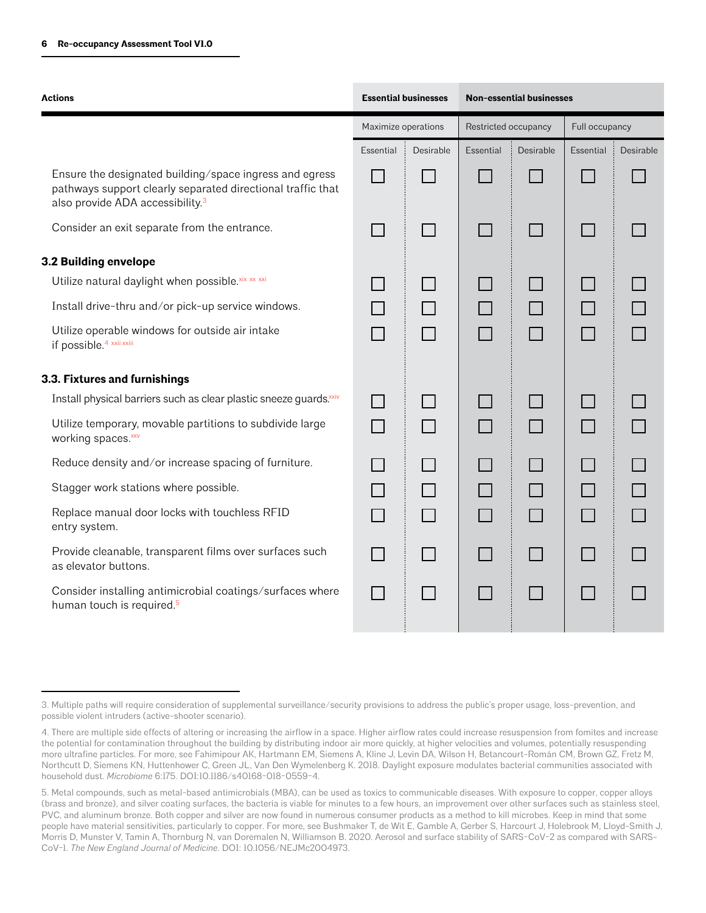| <b>Actions</b>                                                                                                                                                         |                     | <b>Essential businesses</b> | <b>Non-essential businesses</b>                |  |                |           |
|------------------------------------------------------------------------------------------------------------------------------------------------------------------------|---------------------|-----------------------------|------------------------------------------------|--|----------------|-----------|
|                                                                                                                                                                        | Maximize operations |                             | Restricted occupancy<br>Essential<br>Desirable |  | Full occupancy |           |
|                                                                                                                                                                        | Essential           | Desirable                   |                                                |  | Essential      | Desirable |
| Ensure the designated building/space ingress and egress<br>pathways support clearly separated directional traffic that<br>also provide ADA accessibility. <sup>3</sup> |                     |                             |                                                |  |                |           |
| Consider an exit separate from the entrance.                                                                                                                           |                     | H                           |                                                |  |                |           |
| 3.2 Building envelope                                                                                                                                                  |                     |                             |                                                |  |                |           |
| Utilize natural daylight when possible. Xix xx xxi                                                                                                                     |                     |                             |                                                |  |                |           |
| Install drive-thru and/or pick-up service windows.                                                                                                                     |                     |                             |                                                |  |                |           |
| Utilize operable windows for outside air intake<br>if possible. <sup>4</sup> xxii xxiii                                                                                |                     | П                           |                                                |  |                |           |
| 3.3. Fixtures and furnishings                                                                                                                                          |                     |                             |                                                |  |                |           |
| Install physical barriers such as clear plastic sneeze guards.xxiv                                                                                                     |                     |                             |                                                |  |                |           |
| Utilize temporary, movable partitions to subdivide large<br>working spaces. XXV                                                                                        |                     |                             |                                                |  |                |           |
| Reduce density and/or increase spacing of furniture.                                                                                                                   |                     |                             |                                                |  |                |           |
| Stagger work stations where possible.                                                                                                                                  |                     |                             |                                                |  |                |           |
| Replace manual door locks with touchless RFID<br>entry system.                                                                                                         |                     |                             |                                                |  |                |           |
| Provide cleanable, transparent films over surfaces such<br>as elevator buttons.                                                                                        |                     |                             |                                                |  |                |           |
| Consider installing antimicrobial coatings/surfaces where<br>human touch is required. <sup>5</sup>                                                                     |                     |                             |                                                |  |                |           |

<sup>3.</sup> Multiple paths will require consideration of supplemental surveillance/security provisions to address the public's proper usage, loss-prevention, and possible violent intruders (active-shooter scenario).

<sup>4.</sup> There are multiple side effects of altering or increasing the airflow in a space. Higher airflow rates could increase resuspension from fomites and increase the potential for contamination throughout the building by distributing indoor air more quickly, at higher velocities and volumes, potentially resuspending more ultrafine particles. For more, see Fahimipour AK, Hartmann EM, Siemens A, Kline J, Levin DA, Wilson H, Betancourt-Román CM, Brown GZ, Fretz M, Northcutt D, Siemens KN, Huttenhower C, Green JL, Van Den Wymelenberg K. 2018. Daylight exposure modulates bacterial communities associated with household dust. *Microbiome* 6:175. DOI:10.1186/s40168-018-0559-4.

<sup>5.</sup> Metal compounds, such as metal-based antimicrobials (MBA), can be used as toxics to communicable diseases. With exposure to copper, copper alloys (brass and bronze), and silver coating surfaces, the bacteria is viable for minutes to a few hours, an improvement over other surfaces such as stainless steel, PVC, and aluminum bronze. Both copper and silver are now found in numerous consumer products as a method to kill microbes. Keep in mind that some people have material sensitivities, particularly to copper. For more, see Bushmaker T, de Wit E, Gamble A, Gerber S, Harcourt J, Holebrook M, Lloyd-Smith J, Morris D, Munster V, Tamin A, Thornburg N, van Doremalen N, Williamson B. 2020. Aerosol and surface stability of SARS-CoV-2 as compared with SARS-CoV-1. *The New England Journal of Medicine*. DOI: 10.1056/NEJMc2004973.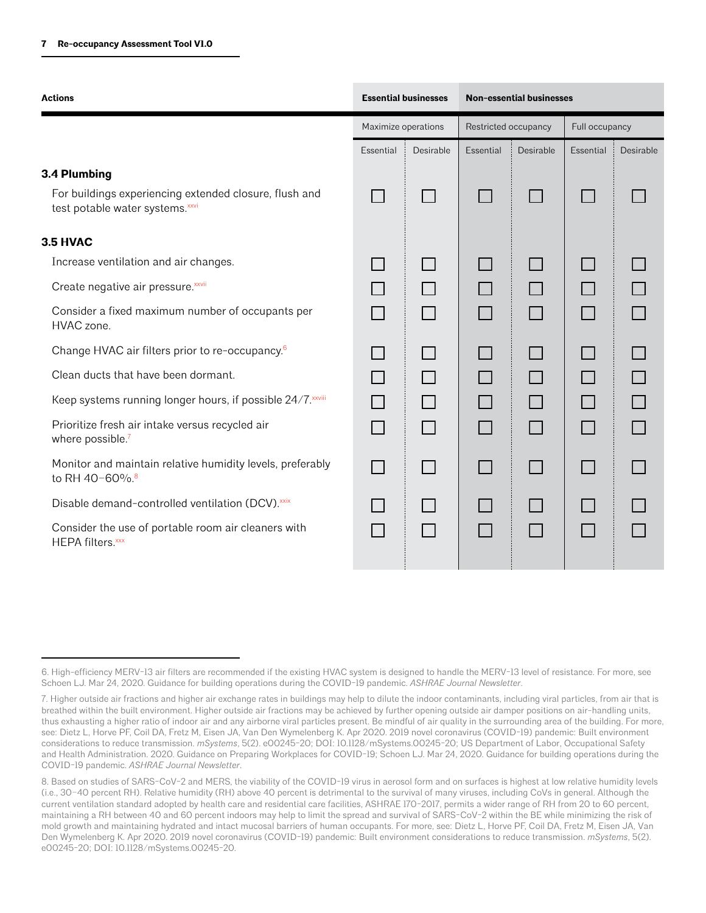| <b>Actions</b>                                                                             |                     | <b>Essential businesses</b> | <b>Non-essential businesses</b><br>Restricted occupancy<br>Full occupancy<br>Desirable<br>Essential<br>Essential<br>$\mathcal{L}_{\mathcal{A}}$ |  |                          |           |
|--------------------------------------------------------------------------------------------|---------------------|-----------------------------|-------------------------------------------------------------------------------------------------------------------------------------------------|--|--------------------------|-----------|
|                                                                                            | Maximize operations |                             |                                                                                                                                                 |  |                          |           |
|                                                                                            | Essential           | Desirable                   |                                                                                                                                                 |  |                          | Desirable |
| 3.4 Plumbing                                                                               |                     |                             |                                                                                                                                                 |  |                          |           |
| For buildings experiencing extended closure, flush and<br>test potable water systems. XXVi |                     |                             |                                                                                                                                                 |  |                          |           |
| 3.5 HVAC                                                                                   |                     |                             |                                                                                                                                                 |  |                          |           |
| Increase ventilation and air changes.                                                      |                     |                             |                                                                                                                                                 |  |                          |           |
| Create negative air pressure. XXVII                                                        |                     |                             |                                                                                                                                                 |  |                          |           |
| Consider a fixed maximum number of occupants per<br>HVAC zone.                             |                     |                             |                                                                                                                                                 |  |                          |           |
| Change HVAC air filters prior to re-occupancy. <sup>6</sup>                                |                     |                             |                                                                                                                                                 |  |                          |           |
| Clean ducts that have been dormant.                                                        |                     |                             |                                                                                                                                                 |  |                          |           |
| Keep systems running longer hours, if possible 24/7. xxviii                                |                     |                             |                                                                                                                                                 |  |                          |           |
| Prioritize fresh air intake versus recycled air<br>where possible.7                        |                     |                             | $\sim$                                                                                                                                          |  | $\Box$                   |           |
| Monitor and maintain relative humidity levels, preferably<br>to RH 40-60%. <sup>8</sup>    |                     |                             |                                                                                                                                                 |  | $\overline{\phantom{a}}$ |           |
| Disable demand-controlled ventilation (DCV).xxix                                           |                     |                             |                                                                                                                                                 |  |                          |           |
| Consider the use of portable room air cleaners with<br>HEPA filters. xxx                   |                     |                             |                                                                                                                                                 |  |                          |           |
|                                                                                            |                     |                             |                                                                                                                                                 |  |                          |           |

<sup>6.</sup> High-efficiency MERV-13 air filters are recommended if the existing HVAC system is designed to handle the MERV-13 level of resistance. For more, see Schoen LJ. Mar 24, 2020. Guidance for building operations during the COVID-19 pandemic. *ASHRAE Journal Newsletter*.

<sup>7.</sup> Higher outside air fractions and higher air exchange rates in buildings may help to dilute the indoor contaminants, including viral particles, from air that is breathed within the built environment. Higher outside air fractions may be achieved by further opening outside air damper positions on air-handling units, thus exhausting a higher ratio of indoor air and any airborne viral particles present. Be mindful of air quality in the surrounding area of the building. For more, see: Dietz L, Horve PF, Coil DA, Fretz M, Eisen JA, Van Den Wymelenberg K. Apr 2020. 2019 novel coronavirus (COVID-19) pandemic: Built environment considerations to reduce transmission. *mSystems*, 5(2). e00245-20; DOI: 10.1128/mSystems.00245-20; US Department of Labor, Occupational Safety and Health Administration. 2020. Guidance on Preparing Workplaces for COVID-19; Schoen LJ. Mar 24, 2020. Guidance for building operations during the COVID-19 pandemic. *ASHRAE Journal Newsletter*.

<sup>8.</sup> Based on studies of SARS-CoV-2 and MERS, the viability of the COVID-19 virus in aerosol form and on surfaces is highest at low relative humidity levels (i.e., 30–40 percent RH). Relative humidity (RH) above 40 percent is detrimental to the survival of many viruses, including CoVs in general. Although the current ventilation standard adopted by health care and residential care facilities, ASHRAE 170-2017, permits a wider range of RH from 20 to 60 percent, maintaining a RH between 40 and 60 percent indoors may help to limit the spread and survival of SARS-CoV-2 within the BE while minimizing the risk of mold growth and maintaining hydrated and intact mucosal barriers of human occupants. For more, see: Dietz L, Horve PF, Coil DA, Fretz M, Eisen JA, Van Den Wymelenberg K. Apr 2020. 2019 novel coronavirus (COVID-19) pandemic: Built environment considerations to reduce transmission. *mSystems*, 5(2). e00245-20; DOI: 10.1128/mSystems.00245-20.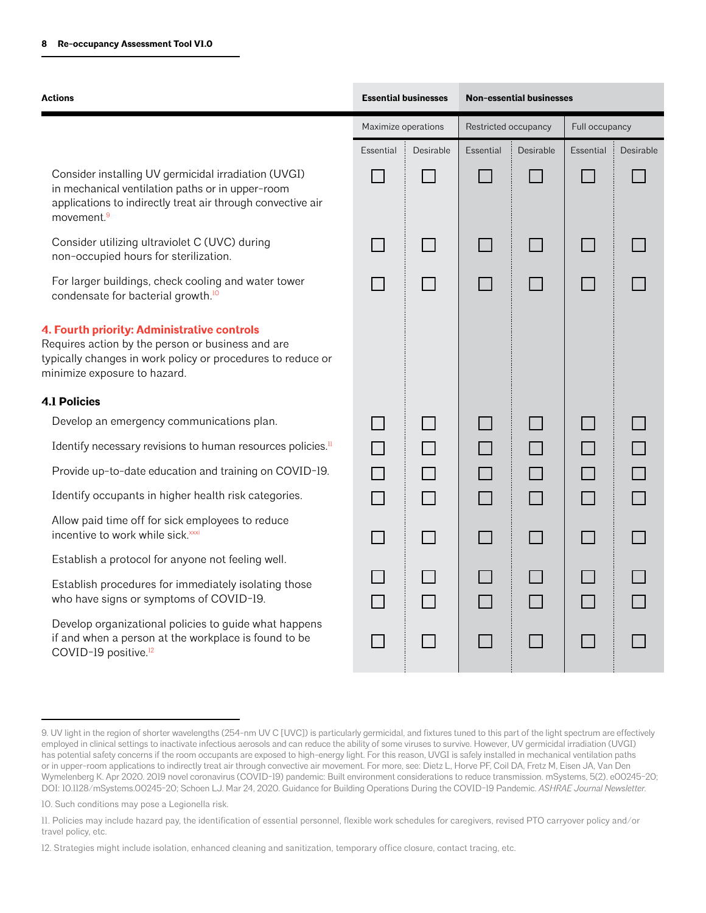| <b>Actions</b>                                                                                                                                                                                    | <b>Essential businesses</b> |                                             |           | <b>Non-essential businesses</b> |           |           |
|---------------------------------------------------------------------------------------------------------------------------------------------------------------------------------------------------|-----------------------------|---------------------------------------------|-----------|---------------------------------|-----------|-----------|
|                                                                                                                                                                                                   |                             | Restricted occupancy<br>Maximize operations |           | Full occupancy                  |           |           |
|                                                                                                                                                                                                   | Essential                   | Desirable                                   | Essential | Desirable                       | Essential | Desirable |
| Consider installing UV germicidal irradiation (UVGI)<br>in mechanical ventilation paths or in upper-room<br>applications to indirectly treat air through convective air<br>movement. <sup>9</sup> |                             |                                             |           |                                 |           |           |
| Consider utilizing ultraviolet C (UVC) during<br>non-occupied hours for sterilization.                                                                                                            |                             |                                             |           |                                 |           |           |
| For larger buildings, check cooling and water tower<br>condensate for bacterial growth. <sup>10</sup>                                                                                             |                             |                                             |           |                                 |           |           |
| 4. Fourth priority: Administrative controls<br>Requires action by the person or business and are<br>typically changes in work policy or procedures to reduce or<br>minimize exposure to hazard.   |                             |                                             |           |                                 |           |           |
| <b>4.1 Policies</b>                                                                                                                                                                               |                             |                                             |           |                                 |           |           |
| Develop an emergency communications plan.                                                                                                                                                         |                             |                                             |           |                                 |           |           |
| Identify necessary revisions to human resources policies. <sup>11</sup>                                                                                                                           |                             |                                             |           |                                 |           |           |
| Provide up-to-date education and training on COVID-19.                                                                                                                                            |                             |                                             |           |                                 |           |           |
| Identify occupants in higher health risk categories.                                                                                                                                              |                             |                                             |           |                                 |           |           |
| Allow paid time off for sick employees to reduce<br>incentive to work while sick. xxxi                                                                                                            |                             |                                             |           |                                 |           |           |
| Establish a protocol for anyone not feeling well.                                                                                                                                                 |                             |                                             |           |                                 |           |           |
| Establish procedures for immediately isolating those<br>who have signs or symptoms of COVID-19.                                                                                                   |                             |                                             |           |                                 |           |           |
| Develop organizational policies to guide what happens<br>if and when a person at the workplace is found to be<br>COVID-19 positive. <sup>12</sup>                                                 |                             |                                             |           |                                 |           |           |

10. Such conditions may pose a Legionella risk.

<sup>9.</sup> UV light in the region of shorter wavelengths (254-nm UV C [UVC]) is particularly germicidal, and fixtures tuned to this part of the light spectrum are effectively employed in clinical settings to inactivate infectious aerosols and can reduce the ability of some viruses to survive. However, UV germicidal irradiation (UVGI) has potential safety concerns if the room occupants are exposed to high-energy light. For this reason, UVGI is safely installed in mechanical ventilation paths or in upper-room applications to indirectly treat air through convective air movement. For more, see: Dietz L, Horve PF, Coil DA, Fretz M, Eisen JA, Van Den Wymelenberg K. Apr 2020. 2019 novel coronavirus (COVID-19) pandemic: Built environment considerations to reduce transmission. mSystems, 5(2). e00245-20; DOI: 10.1128/mSystems.00245-20; Schoen LJ. Mar 24, 2020. Guidance for Building Operations During the COVID-19 Pandemic. *ASHRAE Journal Newsletter.*

<sup>11.</sup> Policies may include hazard pay, the identification of essential personnel, flexible work schedules for caregivers, revised PTO carryover policy and/or travel policy, etc.

<sup>12.</sup> Strategies might include isolation, enhanced cleaning and sanitization, temporary office closure, contact tracing, etc.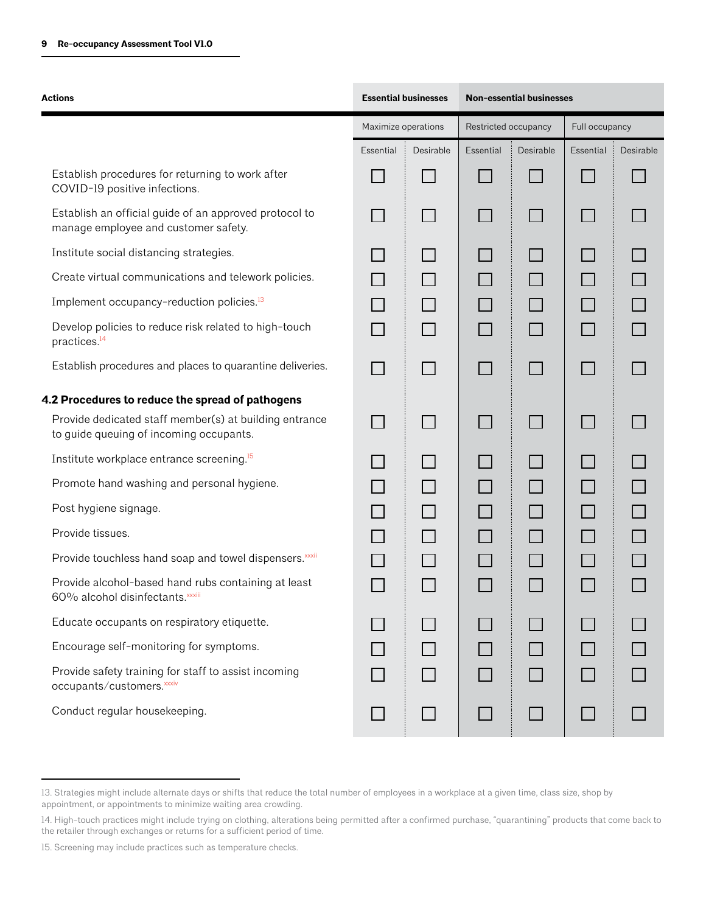| <b>Actions</b>                                                                                    | <b>Essential businesses</b> |           |                      | <b>Non-essential businesses</b> |                |           |
|---------------------------------------------------------------------------------------------------|-----------------------------|-----------|----------------------|---------------------------------|----------------|-----------|
|                                                                                                   | Maximize operations         |           | Restricted occupancy |                                 | Full occupancy |           |
|                                                                                                   | Essential                   | Desirable | Essential            | Desirable                       | Essential      | Desirable |
| Establish procedures for returning to work after<br>COVID-19 positive infections.                 |                             |           |                      |                                 |                |           |
| Establish an official guide of an approved protocol to<br>manage employee and customer safety.    |                             |           |                      |                                 |                |           |
| Institute social distancing strategies.                                                           |                             |           |                      |                                 |                |           |
| Create virtual communications and telework policies.                                              |                             |           |                      |                                 |                |           |
| Implement occupancy-reduction policies. <sup>13</sup>                                             |                             |           |                      |                                 |                |           |
| Develop policies to reduce risk related to high-touch<br>practices. <sup>14</sup>                 |                             |           |                      | $\mathbf{L}$                    | l I            |           |
| Establish procedures and places to quarantine deliveries.                                         |                             |           |                      |                                 |                |           |
| 4.2 Procedures to reduce the spread of pathogens                                                  |                             |           |                      |                                 |                |           |
| Provide dedicated staff member(s) at building entrance<br>to guide queuing of incoming occupants. |                             |           |                      |                                 |                |           |
| Institute workplace entrance screening. <sup>15</sup>                                             |                             |           |                      |                                 |                |           |
| Promote hand washing and personal hygiene.                                                        |                             |           |                      |                                 | $\mathbb{R}^n$ |           |
| Post hygiene signage.                                                                             |                             |           |                      |                                 |                |           |
| Provide tissues.                                                                                  |                             |           |                      |                                 |                |           |
| Provide touchless hand soap and towel dispensers. xxxii                                           |                             |           |                      |                                 |                |           |
| Provide alcohol-based hand rubs containing at least<br>60% alcohol disinfectants. xxxiii          |                             |           |                      |                                 |                |           |
| Educate occupants on respiratory etiquette.                                                       |                             |           |                      |                                 |                |           |
| Encourage self-monitoring for symptoms.                                                           |                             |           |                      |                                 |                |           |
| Provide safety training for staff to assist incoming<br>occupants/customers. XXXiv                |                             |           |                      |                                 |                |           |
| Conduct regular housekeeping.                                                                     |                             |           |                      |                                 |                |           |

<sup>13.</sup> Strategies might include alternate days or shifts that reduce the total number of employees in a workplace at a given time, class size, shop by appointment, or appointments to minimize waiting area crowding.

<sup>14.</sup> High-touch practices might include trying on clothing, alterations being permitted after a confirmed purchase, "quarantining" products that come back to the retailer through exchanges or returns for a sufficient period of time.

<sup>15.</sup> Screening may include practices such as temperature checks.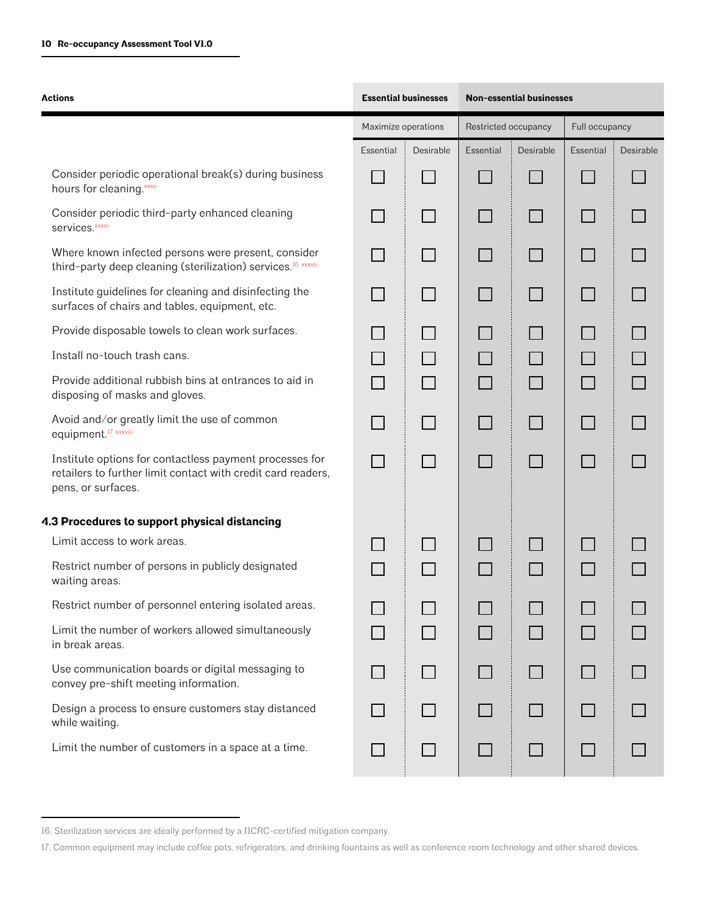| <b>Actions</b>                                                                                                                                | <b>Essential businesses</b> |           | <b>Non-essential businesses</b> |           |                |           |
|-----------------------------------------------------------------------------------------------------------------------------------------------|-----------------------------|-----------|---------------------------------|-----------|----------------|-----------|
|                                                                                                                                               | Maximize operations         |           | Restricted occupancy            |           | Full occupancy |           |
|                                                                                                                                               | Essential                   | Desirable | Essential                       | Desirable | Essential      | Desirable |
| Consider periodic operational break(s) during business<br>hours for cleaning. xxxv                                                            |                             |           |                                 |           | l I            |           |
| Consider periodic third-party enhanced cleaning<br>services. <sup>xxxvi</sup>                                                                 |                             |           |                                 |           | $\Box$         |           |
| Where known infected persons were present, consider<br>third-party deep cleaning (sterilization) services. <sup>16</sup> xxxvii               |                             |           |                                 |           |                |           |
| Institute guidelines for cleaning and disinfecting the<br>surfaces of chairs and tables, equipment, etc.                                      |                             |           |                                 |           | $\Box$         |           |
| Provide disposable towels to clean work surfaces.                                                                                             |                             |           |                                 |           |                |           |
| Install no-touch trash cans.                                                                                                                  |                             |           |                                 |           |                |           |
| Provide additional rubbish bins at entrances to aid in<br>disposing of masks and gloves.                                                      |                             |           |                                 |           | $\Box$         |           |
| Avoid and/or greatly limit the use of common<br>equipment. <sup>17</sup> xxxviii                                                              |                             |           |                                 |           | $\Box$         |           |
| Institute options for contactless payment processes for<br>retailers to further limit contact with credit card readers,<br>pens, or surfaces. |                             |           | $\mathcal{L}$                   |           | $\mathbf{I}$   |           |
| 4.3 Procedures to support physical distancing                                                                                                 |                             |           |                                 |           |                |           |
| Limit access to work areas.                                                                                                                   |                             |           |                                 |           |                |           |
| Restrict number of persons in publicly designated<br>waiting areas.                                                                           |                             |           |                                 |           |                |           |
| Restrict number of personnel entering isolated areas.                                                                                         |                             |           |                                 |           |                |           |
| Limit the number of workers allowed simultaneously<br>in break areas.                                                                         |                             |           |                                 |           | $\Box$         |           |
| Use communication boards or digital messaging to<br>convey pre-shift meeting information.                                                     |                             |           |                                 |           | $\Box$         |           |
| Design a process to ensure customers stay distanced<br>while waiting.                                                                         |                             |           |                                 |           |                |           |
| Limit the number of customers in a space at a time.                                                                                           |                             |           |                                 |           |                |           |

<sup>16.</sup> Sterilization services are ideally performed by a IICRC-certified mitigation company.

<sup>17.</sup> Common equipment may include coffee pots, refrigerators, and drinking fountains as well as conference room technology and other shared devices.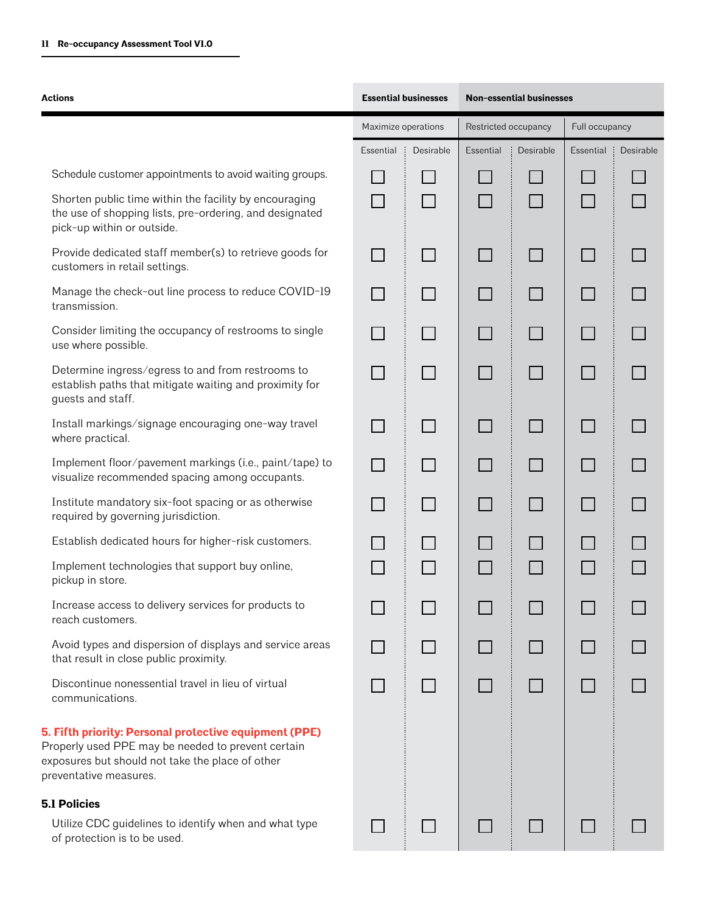| Actions                                                                                                                                                                                    | <b>Essential businesses</b> |                                             | <b>Non-essential businesses</b> |                |                |           |
|--------------------------------------------------------------------------------------------------------------------------------------------------------------------------------------------|-----------------------------|---------------------------------------------|---------------------------------|----------------|----------------|-----------|
|                                                                                                                                                                                            |                             | Maximize operations<br>Restricted occupancy |                                 | Full occupancy |                |           |
|                                                                                                                                                                                            | Essential                   | Desirable                                   | Essential                       | Desirable      | Essential<br>÷ | Desirable |
| Schedule customer appointments to avoid waiting groups.                                                                                                                                    |                             |                                             |                                 |                |                |           |
| Shorten public time within the facility by encouraging<br>the use of shopping lists, pre-ordering, and designated<br>pick-up within or outside.                                            |                             | $\Box$                                      |                                 |                |                |           |
| Provide dedicated staff member(s) to retrieve goods for<br>customers in retail settings.                                                                                                   |                             |                                             |                                 |                |                |           |
| Manage the check-out line process to reduce COVID-19<br>transmission.                                                                                                                      |                             |                                             |                                 |                |                |           |
| Consider limiting the occupancy of restrooms to single<br>use where possible.                                                                                                              |                             |                                             |                                 |                |                |           |
| Determine ingress/egress to and from restrooms to<br>establish paths that mitigate waiting and proximity for<br>guests and staff.                                                          |                             |                                             |                                 |                |                |           |
| Install markings/signage encouraging one-way travel<br>where practical.                                                                                                                    |                             |                                             |                                 | $\Box$         |                |           |
| Implement floor/pavement markings (i.e., paint/tape) to<br>visualize recommended spacing among occupants.                                                                                  |                             | $\Box$                                      |                                 |                |                |           |
| Institute mandatory six-foot spacing or as otherwise<br>required by governing jurisdiction.                                                                                                |                             |                                             |                                 |                |                |           |
| Establish dedicated hours for higher-risk customers.                                                                                                                                       |                             |                                             |                                 |                |                |           |
| Implement technologies that support buy online,<br>pickup in store.                                                                                                                        |                             |                                             |                                 |                |                |           |
| Increase access to delivery services for products to<br>reach customers.                                                                                                                   |                             |                                             |                                 |                |                |           |
| Avoid types and dispersion of displays and service areas<br>that result in close public proximity.                                                                                         |                             |                                             |                                 |                |                |           |
| Discontinue nonessential travel in lieu of virtual<br>communications.                                                                                                                      |                             |                                             |                                 |                |                |           |
| 5. Fifth priority: Personal protective equipment (PPE)<br>Properly used PPE may be needed to prevent certain<br>exposures but should not take the place of other<br>preventative measures. |                             |                                             |                                 |                |                |           |
| <b>5.1 Policies</b>                                                                                                                                                                        |                             |                                             |                                 |                |                |           |
| Utilize CDC guidelines to identify when and what type<br>of protection is to be used.                                                                                                      |                             |                                             |                                 |                |                |           |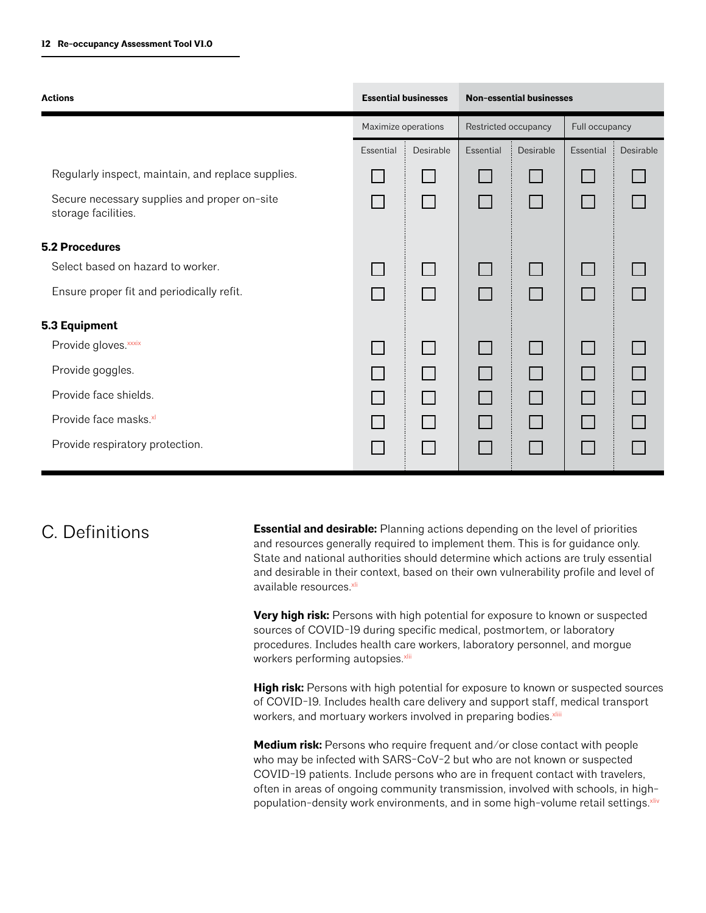| <b>Actions</b>                                                      | <b>Essential businesses</b> |           | <b>Non-essential businesses</b>                                |  |                |           |  |
|---------------------------------------------------------------------|-----------------------------|-----------|----------------------------------------------------------------|--|----------------|-----------|--|
|                                                                     | Maximize operations         |           | Restricted occupancy<br>Essential<br>Desirable<br>$\mathbf{L}$ |  | Full occupancy |           |  |
|                                                                     | Essential                   | Desirable |                                                                |  | Essential      | Desirable |  |
| Regularly inspect, maintain, and replace supplies.                  |                             |           |                                                                |  |                |           |  |
| Secure necessary supplies and proper on-site<br>storage facilities. |                             |           |                                                                |  |                |           |  |
| <b>5.2 Procedures</b>                                               |                             |           |                                                                |  |                |           |  |
| Select based on hazard to worker.                                   |                             |           |                                                                |  | $\Box$         |           |  |
| Ensure proper fit and periodically refit.                           |                             |           |                                                                |  |                |           |  |
| 5.3 Equipment                                                       |                             |           |                                                                |  |                |           |  |
| Provide gloves. xxxix                                               |                             |           |                                                                |  |                |           |  |
| Provide goggles.                                                    |                             |           |                                                                |  |                |           |  |
| Provide face shields.                                               |                             |           |                                                                |  |                |           |  |
| Provide face masks.xl                                               |                             |           |                                                                |  |                |           |  |
| Provide respiratory protection.                                     |                             |           |                                                                |  |                |           |  |

# C. Definitions

**Essential and desirable:** Planning actions depending on the level of priorities and resources generally required to implement them. This is for guidance only. State and national authorities should determine which actions are truly essential and desirable in their context, based on their own vulnerability profile and level of available resources.<sup>xli</sup>

**Very high risk:** Persons with high potential for exposure to known or suspected sources of COVID-19 during specific medical, postmortem, or laboratory procedures. Includes health care workers, laboratory personnel, and morgue workers performing autopsies.<sup>xlii</sup>

**High risk:** Persons with high potential for exposure to known or suspected sources of COVID-19. Includes health care delivery and support staff, medical transport workers, and mortuary workers involved in preparing bodies. XIIII

**Medium risk:** Persons who require frequent and/or close contact with people who may be infected with SARS-CoV-2 but who are not known or suspected COVID-19 patients. Include persons who are in frequent contact with travelers, often in areas of ongoing community transmission, involved with schools, in highpopulation-density work environments, and in some high-volume retail settings.<sup>xliv</sup>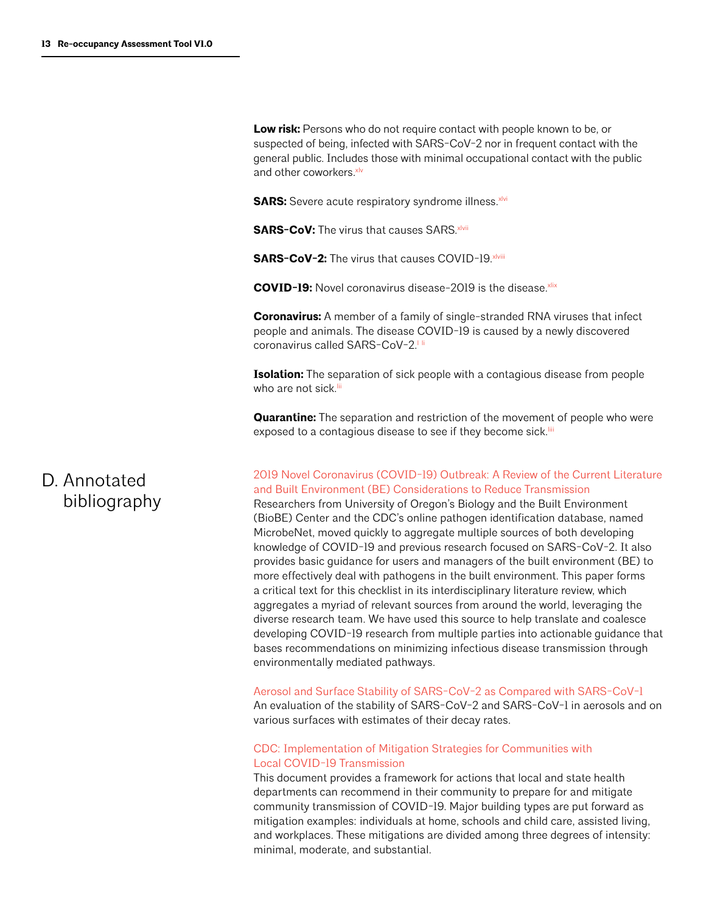Low risk: Persons who do not require contact with people known to be, or suspected of being, infected with SARS-CoV-2 nor in frequent contact with the general public. Includes those with minimal occupational contact with the public and other coworkers. **xlv** 

**SARS:** Severe acute respiratory syndrome illness.<sup>xlvi</sup>

**SARS-CoV:** The virus that causes SARS xlvii

**SARS-CoV-2:** The virus that causes COVID-19. xlviii

**COVID-19:** Novel coronavirus disease-2019 is the disease.<sup>xlix</sup>

**Coronavirus:** A member of a family of single-stranded RNA viruses that infect people and animals. The disease COVID-19 is caused by a newly discovered coronavirus called SARS-CoV-2<sup>11i</sup>

**Isolation:** The separation of sick people with a contagious disease from people who are not sick.<sup>lii</sup>

**Quarantine:** The separation and restriction of the movement of people who were exposed to a contagious disease to see if they become sick.<sup>iii</sup>

# D. Annotated bibliography

[2019 Novel Coronavirus \(COVID-19\) Outbreak: A Review of the Current Literature](https://msystems.asm.org/content/msys/5/2/e00245-20.full.pdf)  [and Built Environment \(BE\) Considerations to Reduce Transmission](https://msystems.asm.org/content/msys/5/2/e00245-20.full.pdf)

Researchers from University of Oregon's Biology and the Built Environment (BioBE) Center and the CDC's online pathogen identification database, named MicrobeNet, moved quickly to aggregate multiple sources of both developing knowledge of COVID-19 and previous research focused on SARS-CoV-2. It also provides basic guidance for users and managers of the built environment (BE) to more effectively deal with pathogens in the built environment. This paper forms a critical text for this checklist in its interdisciplinary literature review, which aggregates a myriad of relevant sources from around the world, leveraging the diverse research team. We have used this source to help translate and coalesce developing COVID-19 research from multiple parties into actionable guidance that bases recommendations on minimizing infectious disease transmission through environmentally mediated pathways.

[Aerosol and Surface Stability of SARS-CoV-2 as Compared with SARS-CoV-1](https://www.nejm.org/doi/full/10.1056/NEJMc2004973?query=RP) 

An evaluation of the stability of SARS-CoV-2 and SARS-CoV-1 in aerosols and on various surfaces with estimates of their decay rates.

#### [CDC: Implementation of Mitigation Strategies for Communities with](https://www.cdc.gov/coronavirus/2019-ncov/downloads/community-mitigation-strategy.pdf)  [Local COVID-19 Transmission](https://www.cdc.gov/coronavirus/2019-ncov/downloads/community-mitigation-strategy.pdf)

This document provides a framework for actions that local and state health departments can recommend in their community to prepare for and mitigate community transmission of COVID-19. Major building types are put forward as mitigation examples: individuals at home, schools and child care, assisted living, and workplaces. These mitigations are divided among three degrees of intensity: minimal, moderate, and substantial.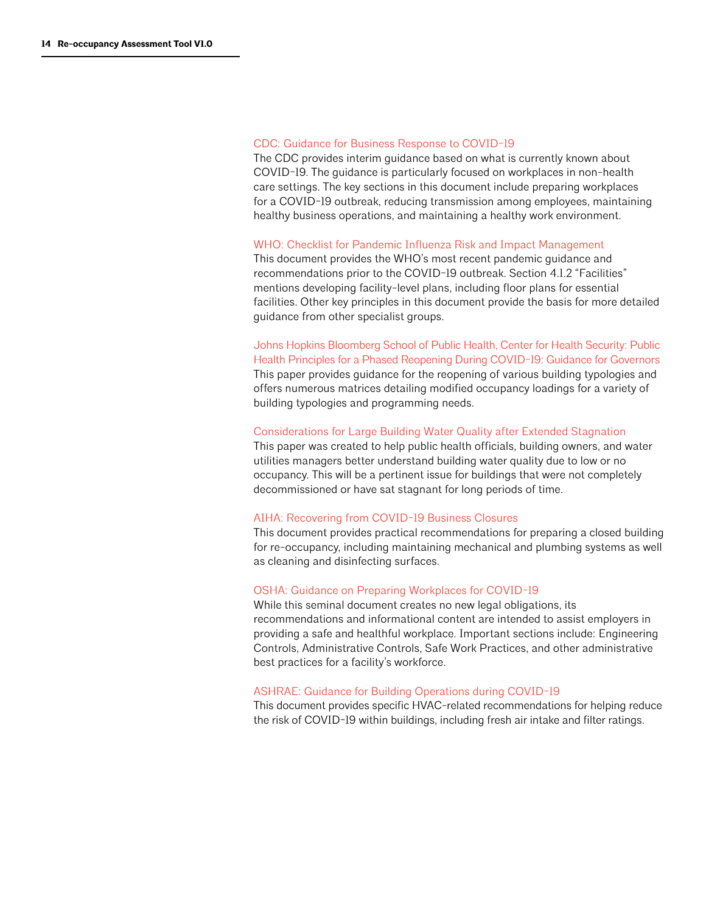#### [CDC: Guidance for Business Response to COVID-19](https://www.cdc.gov/coronavirus/2019-ncov/community/guidance-business-response.html)

The CDC provides interim guidance based on what is currently known about COVID-19. The guidance is particularly focused on workplaces in non-health care settings. The key sections in this document include preparing workplaces for a COVID-19 outbreak, reducing transmission among employees, maintaining healthy business operations, and maintaining a healthy work environment.

#### [WHO: Checklist for Pandemic Influenza Risk and Impact Management](https://www.who.int/influenza/preparedness/pandemic/PIRM_Checklist_update2018.pdf)

This document provides the WHO's most recent pandemic guidance and recommendations prior to the COVID-19 outbreak. Section 4.1.2 "Facilities" mentions developing facility-level plans, including floor plans for essential facilities. Other key principles in this document provide the basis for more detailed guidance from other specialist groups.

[Johns Hopkins Bloomberg School of Public Health, Center for Health Security: Public](https://www.centerforhealthsecurity.org/our-work/pubs_archive/pubs-pdfs/2020/200417-reopening-guidance-governors.pdf?utm_source=Center+for+a+New+Economy&utm_campaign=a3ce198d93-23.4.2020+LWR+DB+%28ENG%29&utm_medium=email&utm_term=0_6289136981-a3ce198d93-509809765&mc_cid=a3ce198d93&mc_eid=e40103d01d)  [Health Principles for a Phased Reopening During COVID-19: Guidance for Governors](https://www.centerforhealthsecurity.org/our-work/pubs_archive/pubs-pdfs/2020/200417-reopening-guidance-governors.pdf?utm_source=Center+for+a+New+Economy&utm_campaign=a3ce198d93-23.4.2020+LWR+DB+%28ENG%29&utm_medium=email&utm_term=0_6289136981-a3ce198d93-509809765&mc_cid=a3ce198d93&mc_eid=e40103d01d) This paper provides guidance for the reopening of various building typologies and offers numerous matrices detailing modified occupancy loadings for a variety of building typologies and programming needs.

#### [Considerations for Large Building Water Quality after Extended Stagnation](https://engineering.purdue.edu/PlumbingSafety/covid19/building-water-safety-study)

This paper was created to help public health officials, building owners, and water utilities managers better understand building water quality due to low or no occupancy. This will be a pertinent issue for buildings that were not completely decommissioned or have sat stagnant for long periods of time.

#### [AIHA: Recovering from COVID-19 Business Closures](https://aiha-assets.sfo2.digitaloceanspaces.com/AIHA/resources/Public-Resources/RecoveringFromCOVID-19BuildingClosures_GuidanceDocument.FINAL.pdf)

This document provides practical recommendations for preparing a closed building for re-occupancy, including maintaining mechanical and plumbing systems as well as cleaning and disinfecting surfaces.

#### [OSHA: Guidance on Preparing Workplaces for COVID-19](https://www.osha.gov/Publications/OSHA3990.pdf)

While this seminal document creates no new legal obligations, its recommendations and informational content are intended to assist employers in providing a safe and healthful workplace. Important sections include: Engineering Controls, Administrative Controls, Safe Work Practices, and other administrative best practices for a facility's workforce.

#### [ASHRAE: Guidance for Building Operations during COVID-19](https://www.ashrae.org/news/ashraejournal/guidance-for-building-operations-during-the-covid-19-pandemic)

This document provides specific HVAC-related recommendations for helping reduce the risk of COVID-19 within buildings, including fresh air intake and filter ratings.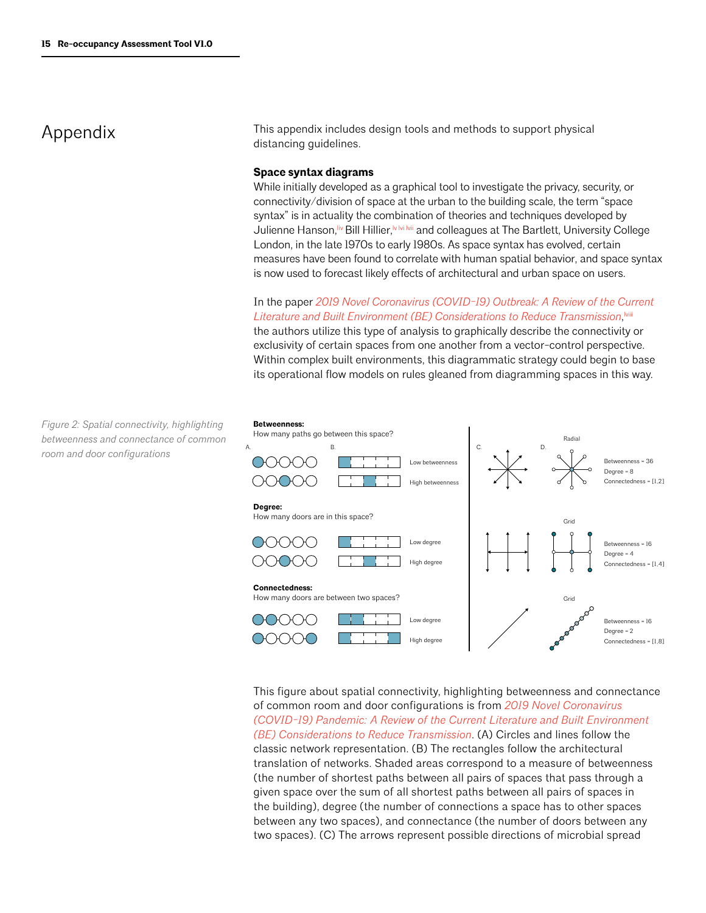### Appendix

This appendix includes design tools and methods to support physical distancing guidelines.

#### **Space syntax diagrams**

While initially developed as a graphical tool to investigate the privacy, security, or connectivity/division of space at the urban to the building scale, the term "space syntax" is in actuality the combination of theories and techniques developed by Julienne Hanson,<sup>liv</sup> Bill Hillier,<sup>MMMI</sup> and colleagues at The Bartlett, University College London, in the late 1970s to early 1980s. As space syntax has evolved, certain measures have been found to correlate with human spatial behavior, and space syntax is now used to forecast likely effects of architectural and urban space on users.

In the paper *[2019 Novel Coronavirus \(COVID-19\) Outbreak: A Review of the Current](https://msystems.asm.org/content/msys/5/2/e00245-20.full.pdf)*  [Literature and Built Environment \(BE\) Considerations to Reduce Transmission](https://msystems.asm.org/content/msys/5/2/e00245-20.full.pdf), will

the authors utilize this type of analysis to graphically describe the connectivity or exclusivity of certain spaces from one another from a vector-control perspective. Within complex built environments, this diagrammatic strategy could begin to base its operational flow models on rules gleaned from diagramming spaces in this way.



This figure about spatial connectivity, highlighting betweenness and connectance of common room and door configurations is from *[2019 Novel Coronavirus](https://msystems.asm.org/content/msys/5/2/e00245-20.full.pdf)  [\(COVID-19\) Pandemic: A Review of the Current Literature and Built Environment](https://msystems.asm.org/content/msys/5/2/e00245-20.full.pdf)  [\(BE\) Considerations to Reduce Transmission](https://msystems.asm.org/content/msys/5/2/e00245-20.full.pdf)*. (A) Circles and lines follow the classic network representation. (B) The rectangles follow the architectural translation of networks. Shaded areas correspond to a measure of betweenness (the number of shortest paths between all pairs of spaces that pass through a given space over the sum of all shortest paths between all pairs of spaces in the building), degree (the number of connections a space has to other spaces between any two spaces), and connectance (the number of doors between any two spaces). (C) The arrows represent possible directions of microbial spread

*Figure 2: Spatial connectivity, highlighting betweenness and connectance of common room and door configurations*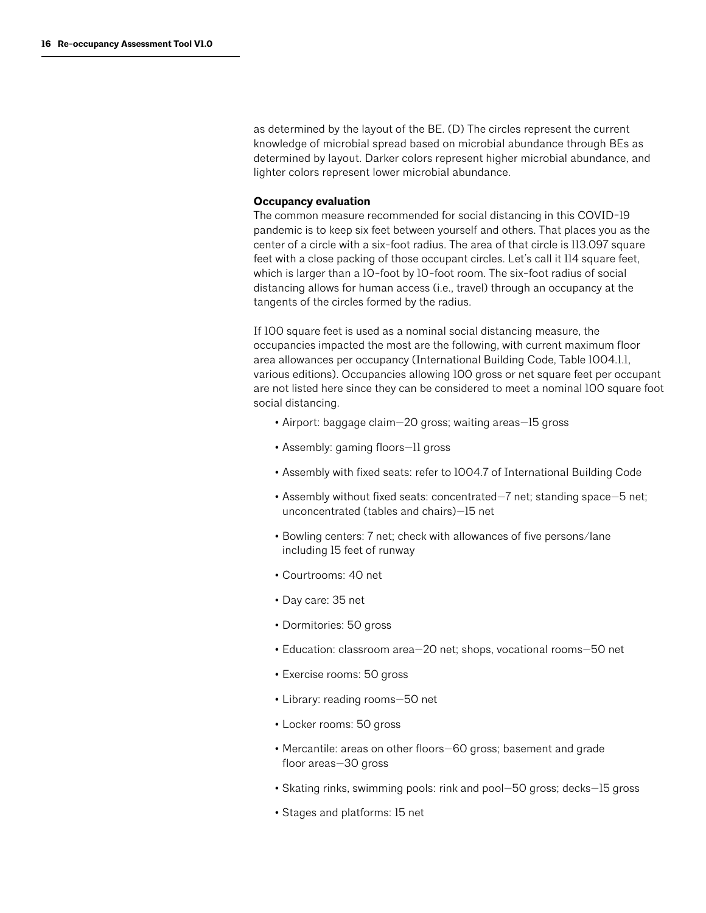as determined by the layout of the BE. (D) The circles represent the current knowledge of microbial spread based on microbial abundance through BEs as determined by layout. Darker colors represent higher microbial abundance, and lighter colors represent lower microbial abundance.

#### **Occupancy evaluation**

The common measure recommended for social distancing in this COVID-19 pandemic is to keep six feet between yourself and others. That places you as the center of a circle with a six-foot radius. The area of that circle is 113.097 square feet with a close packing of those occupant circles. Let's call it 114 square feet, which is larger than a 10-foot by 10-foot room. The six-foot radius of social distancing allows for human access (i.e., travel) through an occupancy at the tangents of the circles formed by the radius.

If 100 square feet is used as a nominal social distancing measure, the occupancies impacted the most are the following, with current maximum floor area allowances per occupancy (International Building Code, Table 1004.1.1, various editions). Occupancies allowing 100 gross or net square feet per occupant are not listed here since they can be considered to meet a nominal 100 square foot social distancing.

- Airport: baggage claim—20 gross; waiting areas—15 gross
- Assembly: gaming floors—11 gross
- Assembly with fixed seats: refer to 1004.7 of International Building Code
- Assembly without fixed seats: concentrated—7 net; standing space—5 net; unconcentrated (tables and chairs)—15 net
- Bowling centers: 7 net; check with allowances of five persons/lane including 15 feet of runway
- Courtrooms: 40 net
- Day care: 35 net
- Dormitories: 50 gross
- Education: classroom area—20 net; shops, vocational rooms—50 net
- Exercise rooms: 50 gross
- Library: reading rooms—50 net
- Locker rooms: 50 gross
- Mercantile: areas on other floors—60 gross; basement and grade floor areas—30 gross
- Skating rinks, swimming pools: rink and pool—50 gross; decks—15 gross
- Stages and platforms: 15 net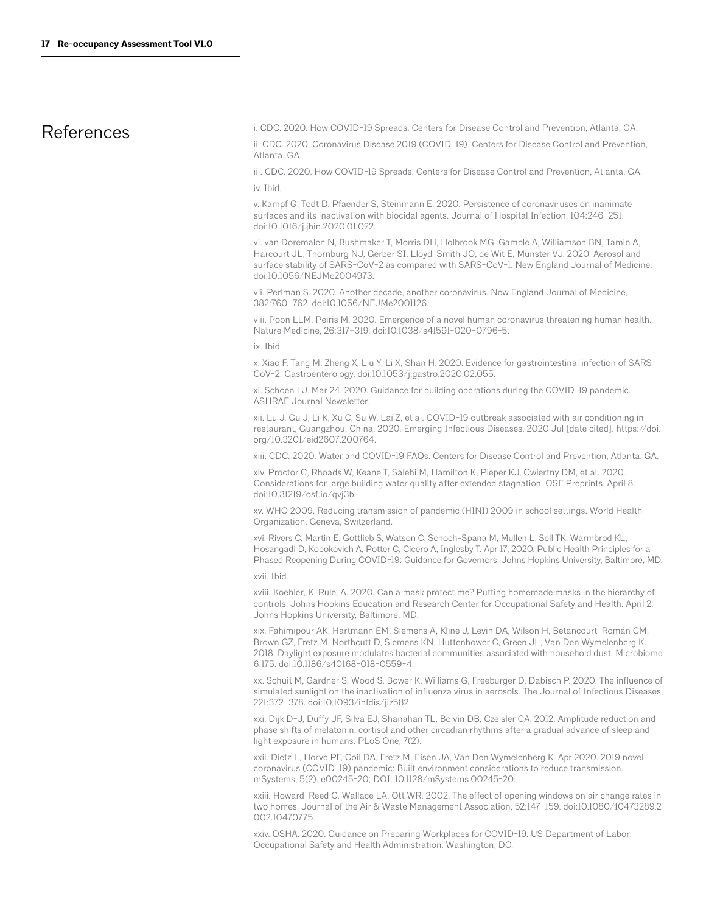### References

i. CDC. 2020. How COVID-19 Spreads. Centers for Disease Control and Prevention, Atlanta, GA.

ii. CDC. 2020. Coronavirus Disease 2019 (COVID-19). Centers for Disease Control and Prevention, Atlanta, GA.

iii. CDC. 2020. How COVID-19 Spreads. Centers for Disease Control and Prevention, Atlanta, GA. iv. Ibid.

v. Kampf G, Todt D, Pfaender S, Steinmann E. 2020. Persistence of coronaviruses on inanimate surfaces and its inactivation with biocidal agents. Journal of Hospital Infection, 104:246–251. doi:10.1016/j.jhin.2020.01.022.

vi. van Doremalen N, Bushmaker T, Morris DH, Holbrook MG, Gamble A, Williamson BN, Tamin A, Harcourt JL, Thornburg NJ, Gerber SI, Lloyd-Smith JO, de Wit E, Munster VJ. 2020. Aerosol and surface stability of SARS-CoV-2 as compared with SARS-CoV-1. New England Journal of Medicine. doi:10.1056/NEJMc2004973.

vii. Perlman S. 2020. Another decade, another coronavirus. New England Journal of Medicine, 382:760–762. doi:10.1056/NEJMe2001126.

viii. Poon LLM, Peiris M. 2020. Emergence of a novel human coronavirus threatening human health. Nature Medicine, 26:317–319. doi:10.1038/s41591-020-0796-5.

ix. Ibid.

x. Xiao F, Tang M, Zheng X, Liu Y, Li X, Shan H. 2020. Evidence for gastrointestinal infection of SARS-CoV-2. Gastroenterology. doi:10.1053/j.gastro.2020.02.055.

xi. Schoen LJ. Mar 24, 2020. Guidance for building operations during the COVID-19 pandemic. ASHRAE Journal Newsletter.

xii. Lu J, Gu J, Li K, Xu C, Su W, Lai Z, et al. COVID-19 outbreak associated with air conditioning in restaurant, Guangzhou, China, 2020. Emerging Infectious Diseases. 2020 Jul [date cited]. https://doi. org/10.3201/eid2607.200764.

xiii. CDC. 2020. Water and COVID-19 FAQs. Centers for Disease Control and Prevention, Atlanta, GA.

xiv. Proctor C, Rhoads W, Keane T, Salehi M, Hamilton K, Pieper KJ, Cwiertny DM, et al. 2020. Considerations for large building water quality after extended stagnation. OSF Preprints. April 8. doi:10.31219/osf.io/qvj3b.

xv. WHO 2009. Reducing transmission of pandemic (H1N1) 2009 in school settings. World Health Organization, Geneva, Switzerland.

xvi. Rivers C, Martin E, Gottlieb S, Watson C, Schoch-Spana M, Mullen L, Sell TK, Warmbrod KL, Hosangadi D, Kobokovich A, Potter C, Cicero A, Inglesby T. Apr 17, 2020. Public Health Principles for a Phased Reopening During COVID-19: Guidance for Governors. Johns Hopkins University, Baltimore, MD.

xvii. Ibid

xviii. Koehler, K, Rule, A. 2020. Can a mask protect me? Putting homemade masks in the hierarchy of controls. Johns Hopkins Education and Research Center for Occupational Safety and Health. April 2. Johns Hopkins University, Baltimore, MD.

xix. Fahimipour AK, Hartmann EM, Siemens A, Kline J, Levin DA, Wilson H, Betancourt-Román CM, Brown GZ, Fretz M, Northcutt D, Siemens KN, Huttenhower C, Green JL, Van Den Wymelenberg K. 2018. Daylight exposure modulates bacterial communities associated with household dust. Microbiome 6:175. doi:10.1186/s40168-018-0559-4.

xx. Schuit M, Gardner S, Wood S, Bower K, Williams G, Freeburger D, Dabisch P. 2020. The influence of simulated sunlight on the inactivation of influenza virus in aerosols. The Journal of Infectious Diseases, 221:372–378. doi:10.1093/infdis/jiz582.

xxi. Dijk D-J, Duffy JF, Silva EJ, Shanahan TL, Boivin DB, Czeisler CA. 2012. Amplitude reduction and phase shifts of melatonin, cortisol and other circadian rhythms after a gradual advance of sleep and light exposure in humans. PLoS One, 7(2).

xxii. Dietz L, Horve PF, Coil DA, Fretz M, Eisen JA, Van Den Wymelenberg K. Apr 2020. 2019 novel coronavirus (COVID-19) pandemic: Built environment considerations to reduce transmission. mSystems, 5(2). e00245-20; DOI: 10.1128/mSystems.00245-20.

xxiii. Howard-Reed C, Wallace LA, Ott WR. 2002. The effect of opening windows on air change rates in two homes. Journal of the Air & Waste Management Association, 52:147–159. doi:10.1080/10473289.2 002.10470775.

xxiv. OSHA. 2020. Guidance on Preparing Workplaces for COVID-19. US Department of Labor, Occupational Safety and Health Administration, Washington, DC.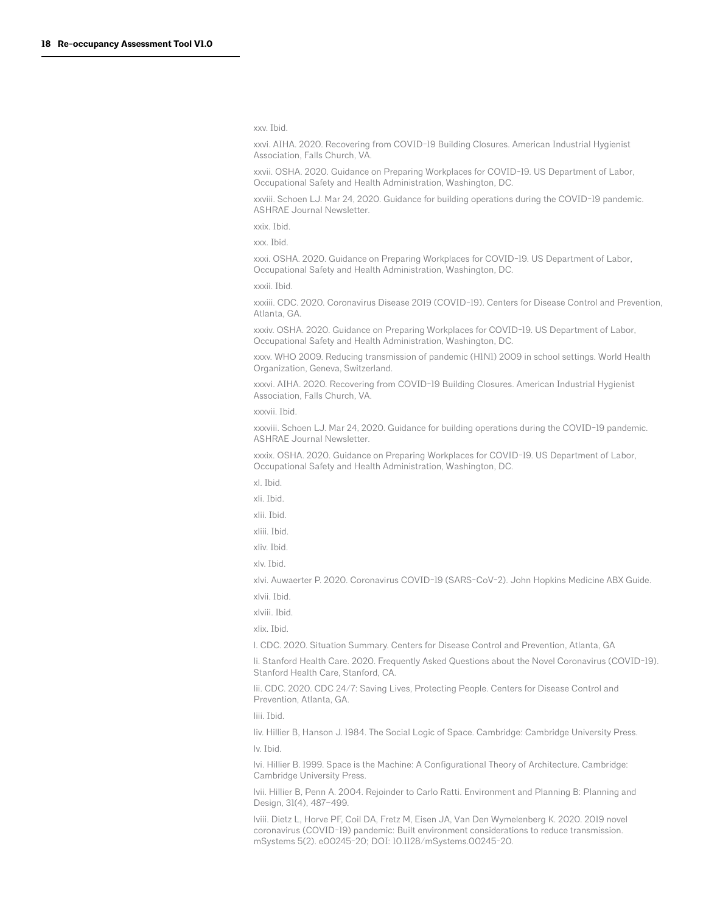xxv. Ibid.

xxvi. AIHA. 2020. Recovering from COVID-19 Building Closures. American Industrial Hygienist Association, Falls Church, VA.

xxvii. OSHA. 2020. Guidance on Preparing Workplaces for COVID-19. US Department of Labor, Occupational Safety and Health Administration, Washington, DC.

xxviii. Schoen LJ. Mar 24, 2020. Guidance for building operations during the COVID-19 pandemic. ASHRAE Journal Newsletter.

xxix. Ibid.

xxx. Ibid.

xxxi. OSHA. 2020. Guidance on Preparing Workplaces for COVID-19. US Department of Labor, Occupational Safety and Health Administration, Washington, DC.

xxxii. Ibid.

xxxiii. CDC. 2020. Coronavirus Disease 2019 (COVID-19). Centers for Disease Control and Prevention, Atlanta, GA.

xxxiv. OSHA. 2020. Guidance on Preparing Workplaces for COVID-19. US Department of Labor, Occupational Safety and Health Administration, Washington, DC.

xxxv. WHO 2009. Reducing transmission of pandemic (H1N1) 2009 in school settings. World Health Organization, Geneva, Switzerland.

xxxvi. AIHA. 2020. Recovering from COVID-19 Building Closures. American Industrial Hygienist Association, Falls Church, VA.

xxxvii. Ibid.

xxxviii. Schoen LJ. Mar 24, 2020. Guidance for building operations during the COVID-19 pandemic. ASHRAE Journal Newsletter.

xxxix. OSHA. 2020. Guidance on Preparing Workplaces for COVID-19. US Department of Labor, Occupational Safety and Health Administration, Washington, DC.

xl. Ibid.

xli. Ibid.

xlii. Ibid.

xliii. Ibid.

xliv. Ibid.

xlv. Ibid.

xlvi. Auwaerter P. 2020. Coronavirus COVID-19 (SARS-CoV-2). John Hopkins Medicine ABX Guide. xlvii. Ibid.

xlviii. Ibid.

xlix. Ibid.

l. CDC. 2020. Situation Summary. Centers for Disease Control and Prevention, Atlanta, GA

li. Stanford Health Care. 2020. Frequently Asked Questions about the Novel Coronavirus (COVID-19). Stanford Health Care, Stanford, CA.

lii. CDC. 2020. CDC 24/7: Saving Lives, Protecting People. Centers for Disease Control and Prevention, Atlanta, GA.

liii. Ibid.

liv. Hillier B, Hanson J. 1984. The Social Logic of Space. Cambridge: Cambridge University Press. lv. Ibid.

lvi. Hillier B. 1999. Space is the Machine: A Configurational Theory of Architecture. Cambridge: Cambridge University Press.

lvii. Hillier B, Penn A. 2004. Rejoinder to Carlo Ratti. Environment and Planning B: Planning and Design, 31(4), 487–499.

lviii. Dietz L, Horve PF, Coil DA, Fretz M, Eisen JA, Van Den Wymelenberg K. 2020. 2019 novel coronavirus (COVID-19) pandemic: Built environment considerations to reduce transmission. mSystems 5(2). e00245-20; DOI: 10.1128/mSystems.00245-20.